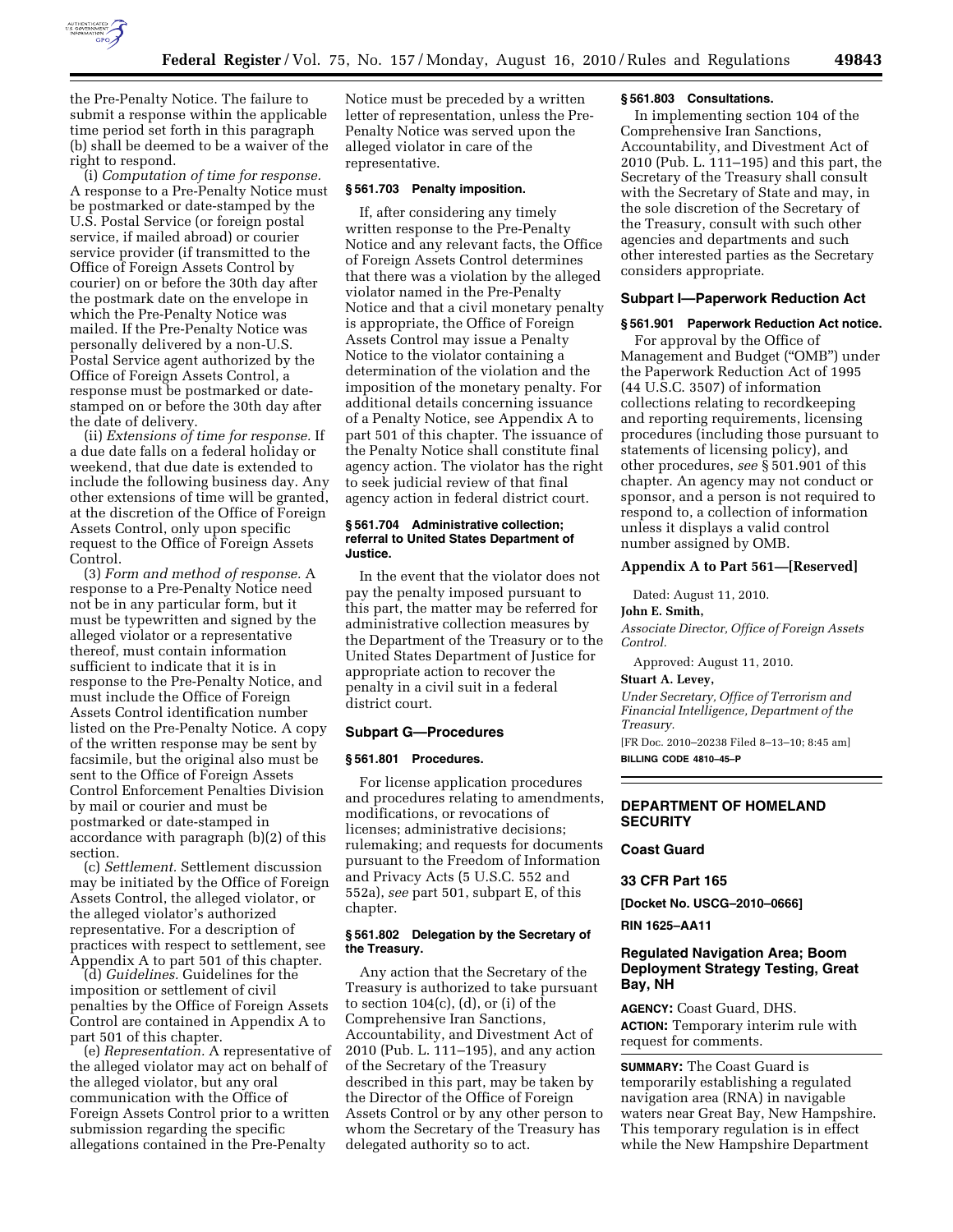

the Pre-Penalty Notice. The failure to submit a response within the applicable time period set forth in this paragraph (b) shall be deemed to be a waiver of the right to respond.

(i) *Computation of time for response.*  A response to a Pre-Penalty Notice must be postmarked or date-stamped by the U.S. Postal Service (or foreign postal service, if mailed abroad) or courier service provider (if transmitted to the Office of Foreign Assets Control by courier) on or before the 30th day after the postmark date on the envelope in which the Pre-Penalty Notice was mailed. If the Pre-Penalty Notice was personally delivered by a non-U.S. Postal Service agent authorized by the Office of Foreign Assets Control, a response must be postmarked or datestamped on or before the 30th day after the date of delivery.

(ii) *Extensions of time for response.* If a due date falls on a federal holiday or weekend, that due date is extended to include the following business day. Any other extensions of time will be granted, at the discretion of the Office of Foreign Assets Control, only upon specific request to the Office of Foreign Assets Control.

(3) *Form and method of response.* A response to a Pre-Penalty Notice need not be in any particular form, but it must be typewritten and signed by the alleged violator or a representative thereof, must contain information sufficient to indicate that it is in response to the Pre-Penalty Notice, and must include the Office of Foreign Assets Control identification number listed on the Pre-Penalty Notice. A copy of the written response may be sent by facsimile, but the original also must be sent to the Office of Foreign Assets Control Enforcement Penalties Division by mail or courier and must be postmarked or date-stamped in accordance with paragraph (b)(2) of this section.

(c) *Settlement.* Settlement discussion may be initiated by the Office of Foreign Assets Control, the alleged violator, or the alleged violator's authorized representative. For a description of practices with respect to settlement, see Appendix A to part 501 of this chapter.

(d) *Guidelines.* Guidelines for the imposition or settlement of civil penalties by the Office of Foreign Assets Control are contained in Appendix A to part 501 of this chapter.

(e) *Representation.* A representative of the alleged violator may act on behalf of the alleged violator, but any oral communication with the Office of Foreign Assets Control prior to a written submission regarding the specific allegations contained in the Pre-Penalty

Notice must be preceded by a written letter of representation, unless the Pre-Penalty Notice was served upon the alleged violator in care of the representative.

### **§ 561.703 Penalty imposition.**

If, after considering any timely written response to the Pre-Penalty Notice and any relevant facts, the Office of Foreign Assets Control determines that there was a violation by the alleged violator named in the Pre-Penalty Notice and that a civil monetary penalty is appropriate, the Office of Foreign Assets Control may issue a Penalty Notice to the violator containing a determination of the violation and the imposition of the monetary penalty. For additional details concerning issuance of a Penalty Notice, see Appendix A to part 501 of this chapter. The issuance of the Penalty Notice shall constitute final agency action. The violator has the right to seek judicial review of that final agency action in federal district court.

## **§ 561.704 Administrative collection; referral to United States Department of Justice.**

In the event that the violator does not pay the penalty imposed pursuant to this part, the matter may be referred for administrative collection measures by the Department of the Treasury or to the United States Department of Justice for appropriate action to recover the penalty in a civil suit in a federal district court.

#### **Subpart G—Procedures**

#### **§ 561.801 Procedures.**

For license application procedures and procedures relating to amendments, modifications, or revocations of licenses; administrative decisions; rulemaking; and requests for documents pursuant to the Freedom of Information and Privacy Acts (5 U.S.C. 552 and 552a), *see* part 501, subpart E, of this chapter.

#### **§ 561.802 Delegation by the Secretary of the Treasury.**

Any action that the Secretary of the Treasury is authorized to take pursuant to section  $104(c)$ , (d), or (i) of the Comprehensive Iran Sanctions, Accountability, and Divestment Act of 2010 (Pub. L. 111–195), and any action of the Secretary of the Treasury described in this part, may be taken by the Director of the Office of Foreign Assets Control or by any other person to whom the Secretary of the Treasury has delegated authority so to act.

#### **§ 561.803 Consultations.**

In implementing section 104 of the Comprehensive Iran Sanctions, Accountability, and Divestment Act of 2010 (Pub. L. 111–195) and this part, the Secretary of the Treasury shall consult with the Secretary of State and may, in the sole discretion of the Secretary of the Treasury, consult with such other agencies and departments and such other interested parties as the Secretary considers appropriate.

#### **Subpart I—Paperwork Reduction Act**

## **§ 561.901 Paperwork Reduction Act notice.**

For approval by the Office of Management and Budget (''OMB'') under the Paperwork Reduction Act of 1995 (44 U.S.C. 3507) of information collections relating to recordkeeping and reporting requirements, licensing procedures (including those pursuant to statements of licensing policy), and other procedures, *see* § 501.901 of this chapter. An agency may not conduct or sponsor, and a person is not required to respond to, a collection of information unless it displays a valid control number assigned by OMB.

# **Appendix A to Part 561—[Reserved]**

Dated: August 11, 2010.

#### **John E. Smith,**

*Associate Director, Office of Foreign Assets Control.* 

Approved: August 11, 2010.

#### **Stuart A. Levey,**

*Under Secretary, Office of Terrorism and Financial Intelligence, Department of the Treasury.* 

[FR Doc. 2010–20238 Filed 8–13–10; 8:45 am] **BILLING CODE 4810–45–P** 

### **DEPARTMENT OF HOMELAND SECURITY**

# **Coast Guard**

# **33 CFR Part 165**

**[Docket No. USCG–2010–0666]** 

#### **RIN 1625–AA11**

# **Regulated Navigation Area; Boom Deployment Strategy Testing, Great Bay, NH**

**AGENCY:** Coast Guard, DHS. **ACTION:** Temporary interim rule with request for comments.

**SUMMARY:** The Coast Guard is temporarily establishing a regulated navigation area (RNA) in navigable waters near Great Bay, New Hampshire. This temporary regulation is in effect while the New Hampshire Department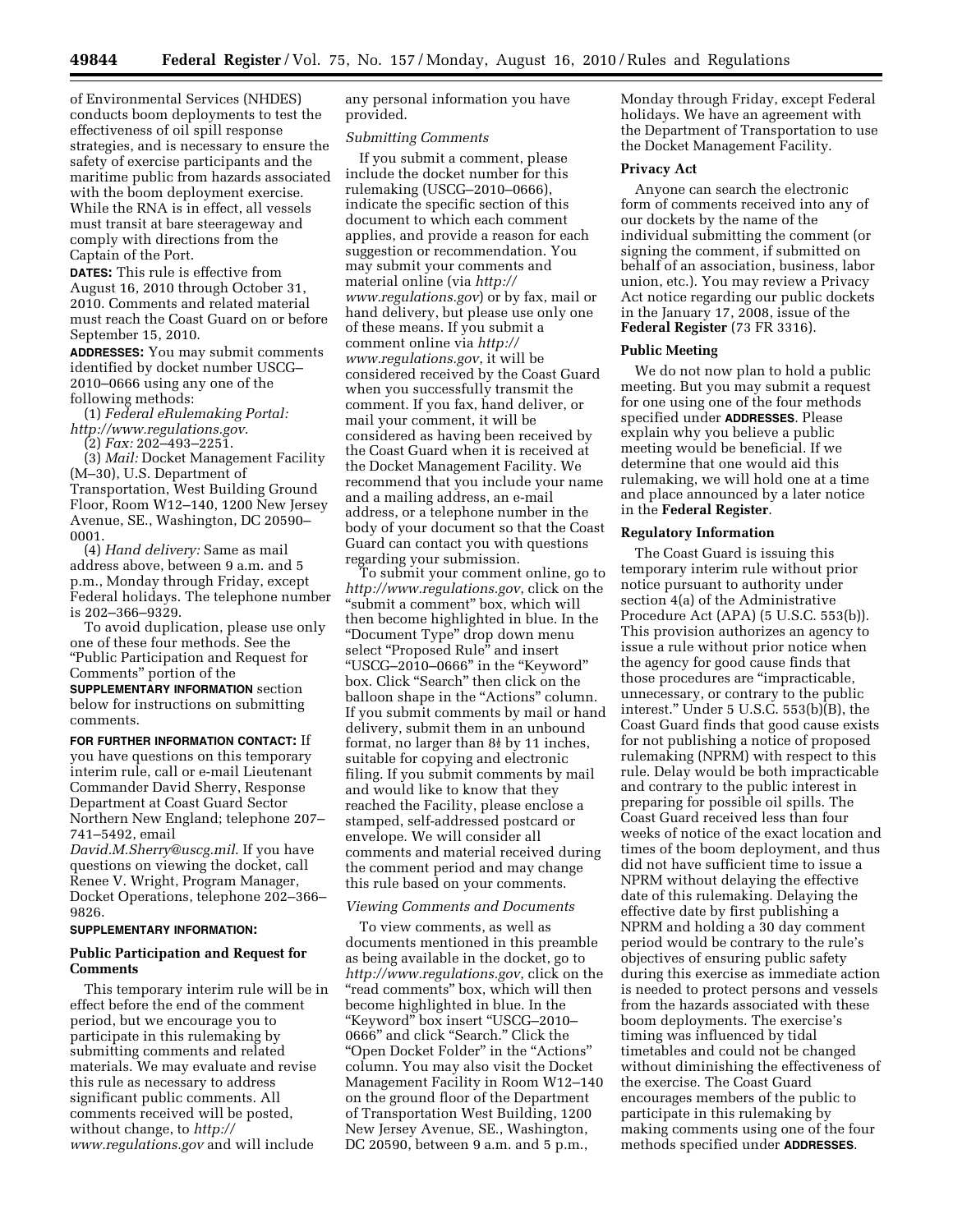of Environmental Services (NHDES) conducts boom deployments to test the effectiveness of oil spill response strategies, and is necessary to ensure the safety of exercise participants and the maritime public from hazards associated with the boom deployment exercise. While the RNA is in effect, all vessels must transit at bare steerageway and comply with directions from the Captain of the Port.

**DATES:** This rule is effective from August 16, 2010 through October 31, 2010. Comments and related material must reach the Coast Guard on or before September 15, 2010.

**ADDRESSES:** You may submit comments identified by docket number USCG– 2010–0666 using any one of the following methods:

(1) *Federal eRulemaking Portal: <http://www.regulations.gov>*.

(2) *Fax:* 202–493–2251.

(3) *Mail:* Docket Management Facility (M–30), U.S. Department of Transportation, West Building Ground Floor, Room W12–140, 1200 New Jersey Avenue, SE., Washington, DC 20590– 0001.

(4) *Hand delivery:* Same as mail address above, between 9 a.m. and 5 p.m., Monday through Friday, except Federal holidays. The telephone number is 202–366–9329.

To avoid duplication, please use only one of these four methods. See the ''Public Participation and Request for Comments'' portion of the

**SUPPLEMENTARY INFORMATION** section below for instructions on submitting comments.

**FOR FURTHER INFORMATION CONTACT:** If you have questions on this temporary interim rule, call or e-mail Lieutenant Commander David Sherry, Response Department at Coast Guard Sector Northern New England; telephone 207– 741–5492, email

*[David.M.Sherry@uscg.mil](mailto:David.M.Sherry@uscg.mil)*. If you have questions on viewing the docket, call Renee V. Wright, Program Manager, Docket Operations, telephone 202–366– 9826.

#### **SUPPLEMENTARY INFORMATION:**

# **Public Participation and Request for Comments**

This temporary interim rule will be in effect before the end of the comment period, but we encourage you to participate in this rulemaking by submitting comments and related materials. We may evaluate and revise this rule as necessary to address significant public comments. All comments received will be posted, without change, to *[http://](http://www.regulations.gov)  [www.regulations.gov](http://www.regulations.gov)* and will include

any personal information you have provided.

#### *Submitting Comments*

If you submit a comment, please include the docket number for this rulemaking (USCG–2010–0666), indicate the specific section of this document to which each comment applies, and provide a reason for each suggestion or recommendation. You may submit your comments and material online (via *[http://](http://www.regulations.gov)  [www.regulations.gov](http://www.regulations.gov)*) or by fax, mail or hand delivery, but please use only one of these means. If you submit a comment online via *[http://](http://www.regulations.gov) [www.regulations.gov](http://www.regulations.gov)*, it will be considered received by the Coast Guard when you successfully transmit the comment. If you fax, hand deliver, or mail your comment, it will be considered as having been received by the Coast Guard when it is received at the Docket Management Facility. We recommend that you include your name and a mailing address, an e-mail address, or a telephone number in the body of your document so that the Coast Guard can contact you with questions regarding your submission.

To submit your comment online, go to *<http://www.regulations.gov>*, click on the "submit a comment" box, which will then become highlighted in blue. In the ''Document Type'' drop down menu select "Proposed Rule" and insert ''USCG–2010–0666'' in the ''Keyword'' box. Click "Search" then click on the balloon shape in the "Actions" column. If you submit comments by mail or hand delivery, submit them in an unbound format, no larger than  $8\frac{1}{2}$  by 11 inches, suitable for copying and electronic filing. If you submit comments by mail and would like to know that they reached the Facility, please enclose a stamped, self-addressed postcard or envelope. We will consider all comments and material received during the comment period and may change this rule based on your comments.

# *Viewing Comments and Documents*

To view comments, as well as documents mentioned in this preamble as being available in the docket, go to *<http://www.regulations.gov>*, click on the ''read comments'' box, which will then become highlighted in blue. In the ''Keyword'' box insert ''USCG–2010– 0666'' and click ''Search.'' Click the ''Open Docket Folder'' in the ''Actions'' column. You may also visit the Docket Management Facility in Room W12–140 on the ground floor of the Department of Transportation West Building, 1200 New Jersey Avenue, SE., Washington, DC 20590, between 9 a.m. and 5 p.m.,

Monday through Friday, except Federal holidays. We have an agreement with the Department of Transportation to use the Docket Management Facility.

#### **Privacy Act**

Anyone can search the electronic form of comments received into any of our dockets by the name of the individual submitting the comment (or signing the comment, if submitted on behalf of an association, business, labor union, etc.). You may review a Privacy Act notice regarding our public dockets in the January 17, 2008, issue of the **Federal Register** (73 FR 3316).

#### **Public Meeting**

We do not now plan to hold a public meeting. But you may submit a request for one using one of the four methods specified under **ADDRESSES**. Please explain why you believe a public meeting would be beneficial. If we determine that one would aid this rulemaking, we will hold one at a time and place announced by a later notice in the **Federal Register**.

## **Regulatory Information**

The Coast Guard is issuing this temporary interim rule without prior notice pursuant to authority under section 4(a) of the Administrative Procedure Act (APA) (5 U.S.C. 553(b)). This provision authorizes an agency to issue a rule without prior notice when the agency for good cause finds that those procedures are ''impracticable, unnecessary, or contrary to the public interest.'' Under 5 U.S.C. 553(b)(B), the Coast Guard finds that good cause exists for not publishing a notice of proposed rulemaking (NPRM) with respect to this rule. Delay would be both impracticable and contrary to the public interest in preparing for possible oil spills. The Coast Guard received less than four weeks of notice of the exact location and times of the boom deployment, and thus did not have sufficient time to issue a NPRM without delaying the effective date of this rulemaking. Delaying the effective date by first publishing a NPRM and holding a 30 day comment period would be contrary to the rule's objectives of ensuring public safety during this exercise as immediate action is needed to protect persons and vessels from the hazards associated with these boom deployments. The exercise's timing was influenced by tidal timetables and could not be changed without diminishing the effectiveness of the exercise. The Coast Guard encourages members of the public to participate in this rulemaking by making comments using one of the four methods specified under **ADDRESSES**.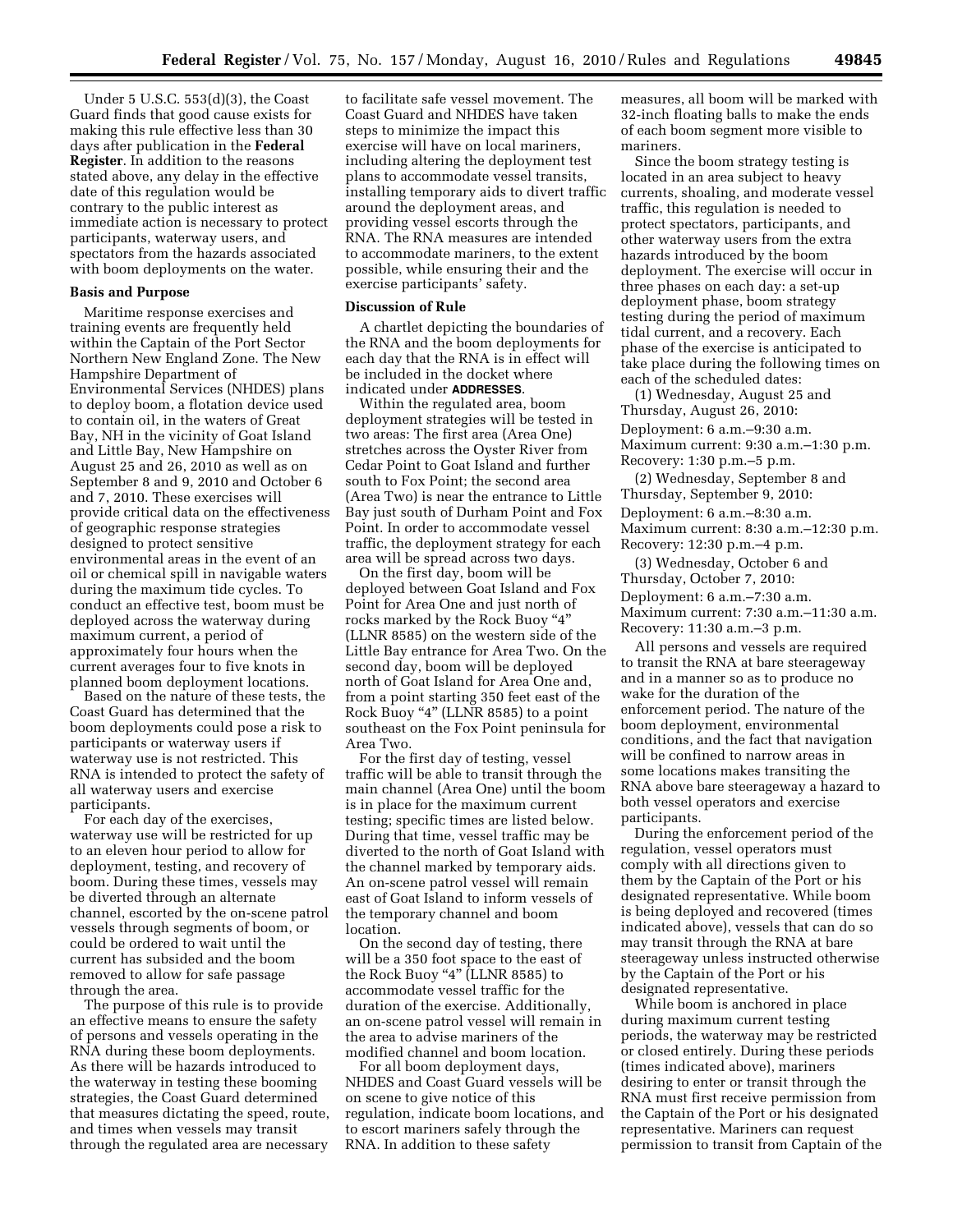Under 5 U.S.C. 553(d)(3), the Coast Guard finds that good cause exists for making this rule effective less than 30 days after publication in the **Federal Register**. In addition to the reasons stated above, any delay in the effective date of this regulation would be contrary to the public interest as immediate action is necessary to protect participants, waterway users, and spectators from the hazards associated with boom deployments on the water.

# **Basis and Purpose**

Maritime response exercises and training events are frequently held within the Captain of the Port Sector Northern New England Zone. The New Hampshire Department of Environmental Services (NHDES) plans to deploy boom, a flotation device used to contain oil, in the waters of Great Bay, NH in the vicinity of Goat Island and Little Bay, New Hampshire on August 25 and 26, 2010 as well as on September 8 and 9, 2010 and October 6 and 7, 2010. These exercises will provide critical data on the effectiveness of geographic response strategies designed to protect sensitive environmental areas in the event of an oil or chemical spill in navigable waters during the maximum tide cycles. To conduct an effective test, boom must be deployed across the waterway during maximum current, a period of approximately four hours when the current averages four to five knots in planned boom deployment locations.

Based on the nature of these tests, the Coast Guard has determined that the boom deployments could pose a risk to participants or waterway users if waterway use is not restricted. This RNA is intended to protect the safety of all waterway users and exercise participants.

For each day of the exercises, waterway use will be restricted for up to an eleven hour period to allow for deployment, testing, and recovery of boom. During these times, vessels may be diverted through an alternate channel, escorted by the on-scene patrol vessels through segments of boom, or could be ordered to wait until the current has subsided and the boom removed to allow for safe passage through the area.

The purpose of this rule is to provide an effective means to ensure the safety of persons and vessels operating in the RNA during these boom deployments. As there will be hazards introduced to the waterway in testing these booming strategies, the Coast Guard determined that measures dictating the speed, route, and times when vessels may transit through the regulated area are necessary

to facilitate safe vessel movement. The Coast Guard and NHDES have taken steps to minimize the impact this exercise will have on local mariners, including altering the deployment test plans to accommodate vessel transits, installing temporary aids to divert traffic around the deployment areas, and providing vessel escorts through the RNA. The RNA measures are intended to accommodate mariners, to the extent possible, while ensuring their and the exercise participants' safety.

#### **Discussion of Rule**

A chartlet depicting the boundaries of the RNA and the boom deployments for each day that the RNA is in effect will be included in the docket where indicated under **ADDRESSES**.

Within the regulated area, boom deployment strategies will be tested in two areas: The first area (Area One) stretches across the Oyster River from Cedar Point to Goat Island and further south to Fox Point; the second area (Area Two) is near the entrance to Little Bay just south of Durham Point and Fox Point. In order to accommodate vessel traffic, the deployment strategy for each area will be spread across two days.

On the first day, boom will be deployed between Goat Island and Fox Point for Area One and just north of rocks marked by the Rock Buoy ''4'' (LLNR 8585) on the western side of the Little Bay entrance for Area Two. On the second day, boom will be deployed north of Goat Island for Area One and, from a point starting 350 feet east of the Rock Buoy "4" (LLNR 8585) to a point southeast on the Fox Point peninsula for Area Two.

For the first day of testing, vessel traffic will be able to transit through the main channel (Area One) until the boom is in place for the maximum current testing; specific times are listed below. During that time, vessel traffic may be diverted to the north of Goat Island with the channel marked by temporary aids. An on-scene patrol vessel will remain east of Goat Island to inform vessels of the temporary channel and boom location.

On the second day of testing, there will be a 350 foot space to the east of the Rock Buoy "4" (LLNR 8585) to accommodate vessel traffic for the duration of the exercise. Additionally, an on-scene patrol vessel will remain in the area to advise mariners of the modified channel and boom location.

For all boom deployment days, NHDES and Coast Guard vessels will be on scene to give notice of this regulation, indicate boom locations, and to escort mariners safely through the RNA. In addition to these safety

measures, all boom will be marked with 32-inch floating balls to make the ends of each boom segment more visible to mariners.

Since the boom strategy testing is located in an area subject to heavy currents, shoaling, and moderate vessel traffic, this regulation is needed to protect spectators, participants, and other waterway users from the extra hazards introduced by the boom deployment. The exercise will occur in three phases on each day: a set-up deployment phase, boom strategy testing during the period of maximum tidal current, and a recovery. Each phase of the exercise is anticipated to take place during the following times on each of the scheduled dates:

(1) Wednesday, August 25 and Thursday, August 26, 2010: Deployment: 6 a.m.–9:30 a.m. Maximum current: 9:30 a.m.–1:30 p.m. Recovery: 1:30 p.m.–5 p.m.

(2) Wednesday, September 8 and Thursday, September 9, 2010: Deployment: 6 a.m.–8:30 a.m. Maximum current: 8:30 a.m.–12:30 p.m. Recovery: 12:30 p.m.–4 p.m.

(3) Wednesday, October 6 and Thursday, October 7, 2010: Deployment: 6 a.m.–7:30 a.m. Maximum current: 7:30 a.m.–11:30 a.m. Recovery: 11:30 a.m.–3 p.m.

All persons and vessels are required to transit the RNA at bare steerageway and in a manner so as to produce no wake for the duration of the enforcement period. The nature of the boom deployment, environmental conditions, and the fact that navigation will be confined to narrow areas in some locations makes transiting the RNA above bare steerageway a hazard to both vessel operators and exercise participants.

During the enforcement period of the regulation, vessel operators must comply with all directions given to them by the Captain of the Port or his designated representative. While boom is being deployed and recovered (times indicated above), vessels that can do so may transit through the RNA at bare steerageway unless instructed otherwise by the Captain of the Port or his designated representative.

While boom is anchored in place during maximum current testing periods, the waterway may be restricted or closed entirely. During these periods (times indicated above), mariners desiring to enter or transit through the RNA must first receive permission from the Captain of the Port or his designated representative. Mariners can request permission to transit from Captain of the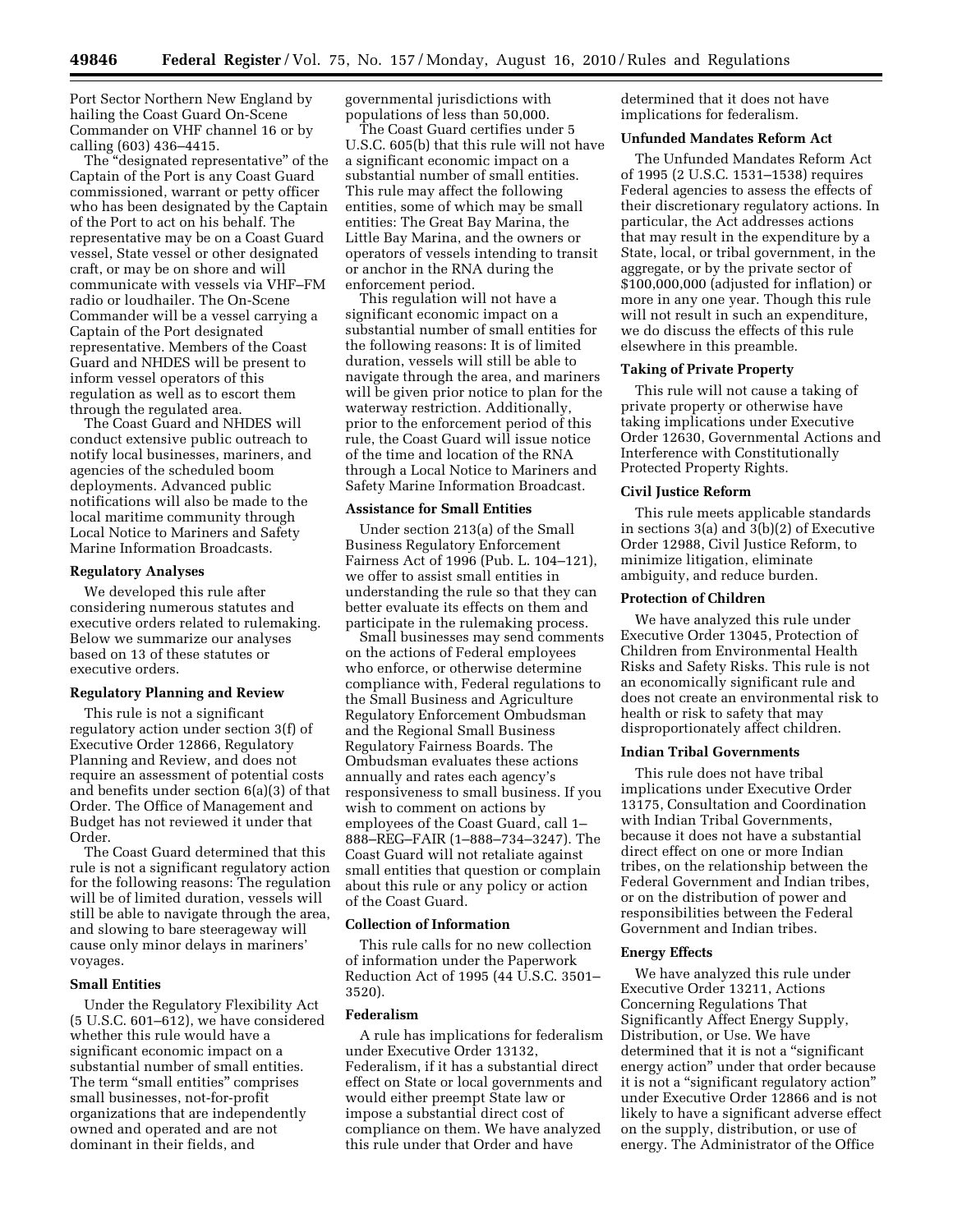Port Sector Northern New England by hailing the Coast Guard On-Scene Commander on VHF channel 16 or by calling (603) 436–4415.

The ''designated representative'' of the Captain of the Port is any Coast Guard commissioned, warrant or petty officer who has been designated by the Captain of the Port to act on his behalf. The representative may be on a Coast Guard vessel, State vessel or other designated craft, or may be on shore and will communicate with vessels via VHF–FM radio or loudhailer. The On-Scene Commander will be a vessel carrying a Captain of the Port designated representative. Members of the Coast Guard and NHDES will be present to inform vessel operators of this regulation as well as to escort them through the regulated area.

The Coast Guard and NHDES will conduct extensive public outreach to notify local businesses, mariners, and agencies of the scheduled boom deployments. Advanced public notifications will also be made to the local maritime community through Local Notice to Mariners and Safety Marine Information Broadcasts.

#### **Regulatory Analyses**

We developed this rule after considering numerous statutes and executive orders related to rulemaking. Below we summarize our analyses based on 13 of these statutes or executive orders.

#### **Regulatory Planning and Review**

This rule is not a significant regulatory action under section 3(f) of Executive Order 12866, Regulatory Planning and Review, and does not require an assessment of potential costs and benefits under section 6(a)(3) of that Order. The Office of Management and Budget has not reviewed it under that Order.

The Coast Guard determined that this rule is not a significant regulatory action for the following reasons: The regulation will be of limited duration, vessels will still be able to navigate through the area, and slowing to bare steerageway will cause only minor delays in mariners' voyages.

# **Small Entities**

Under the Regulatory Flexibility Act (5 U.S.C. 601–612), we have considered whether this rule would have a significant economic impact on a substantial number of small entities. The term "small entities" comprises small businesses, not-for-profit organizations that are independently owned and operated and are not dominant in their fields, and

governmental jurisdictions with populations of less than 50,000.

The Coast Guard certifies under 5 U.S.C. 605(b) that this rule will not have a significant economic impact on a substantial number of small entities. This rule may affect the following entities, some of which may be small entities: The Great Bay Marina, the Little Bay Marina, and the owners or operators of vessels intending to transit or anchor in the RNA during the enforcement period.

This regulation will not have a significant economic impact on a substantial number of small entities for the following reasons: It is of limited duration, vessels will still be able to navigate through the area, and mariners will be given prior notice to plan for the waterway restriction. Additionally, prior to the enforcement period of this rule, the Coast Guard will issue notice of the time and location of the RNA through a Local Notice to Mariners and Safety Marine Information Broadcast.

#### **Assistance for Small Entities**

Under section 213(a) of the Small Business Regulatory Enforcement Fairness Act of 1996 (Pub. L. 104–121), we offer to assist small entities in understanding the rule so that they can better evaluate its effects on them and participate in the rulemaking process.

Small businesses may send comments on the actions of Federal employees who enforce, or otherwise determine compliance with, Federal regulations to the Small Business and Agriculture Regulatory Enforcement Ombudsman and the Regional Small Business Regulatory Fairness Boards. The Ombudsman evaluates these actions annually and rates each agency's responsiveness to small business. If you wish to comment on actions by employees of the Coast Guard, call 1– 888–REG–FAIR (1–888–734–3247). The Coast Guard will not retaliate against small entities that question or complain about this rule or any policy or action of the Coast Guard.

# **Collection of Information**

This rule calls for no new collection of information under the Paperwork Reduction Act of 1995 (44 U.S.C. 3501– 3520).

## **Federalism**

A rule has implications for federalism under Executive Order 13132, Federalism, if it has a substantial direct effect on State or local governments and would either preempt State law or impose a substantial direct cost of compliance on them. We have analyzed this rule under that Order and have

determined that it does not have implications for federalism.

### **Unfunded Mandates Reform Act**

The Unfunded Mandates Reform Act of 1995 (2 U.S.C. 1531–1538) requires Federal agencies to assess the effects of their discretionary regulatory actions. In particular, the Act addresses actions that may result in the expenditure by a State, local, or tribal government, in the aggregate, or by the private sector of \$100,000,000 (adjusted for inflation) or more in any one year. Though this rule will not result in such an expenditure, we do discuss the effects of this rule elsewhere in this preamble.

## **Taking of Private Property**

This rule will not cause a taking of private property or otherwise have taking implications under Executive Order 12630, Governmental Actions and Interference with Constitutionally Protected Property Rights.

#### **Civil Justice Reform**

This rule meets applicable standards in sections 3(a) and 3(b)(2) of Executive Order 12988, Civil Justice Reform, to minimize litigation, eliminate ambiguity, and reduce burden.

#### **Protection of Children**

We have analyzed this rule under Executive Order 13045, Protection of Children from Environmental Health Risks and Safety Risks. This rule is not an economically significant rule and does not create an environmental risk to health or risk to safety that may disproportionately affect children.

# **Indian Tribal Governments**

This rule does not have tribal implications under Executive Order 13175, Consultation and Coordination with Indian Tribal Governments, because it does not have a substantial direct effect on one or more Indian tribes, on the relationship between the Federal Government and Indian tribes, or on the distribution of power and responsibilities between the Federal Government and Indian tribes.

### **Energy Effects**

We have analyzed this rule under Executive Order 13211, Actions Concerning Regulations That Significantly Affect Energy Supply, Distribution, or Use. We have determined that it is not a "significant" energy action'' under that order because it is not a ''significant regulatory action'' under Executive Order 12866 and is not likely to have a significant adverse effect on the supply, distribution, or use of energy. The Administrator of the Office